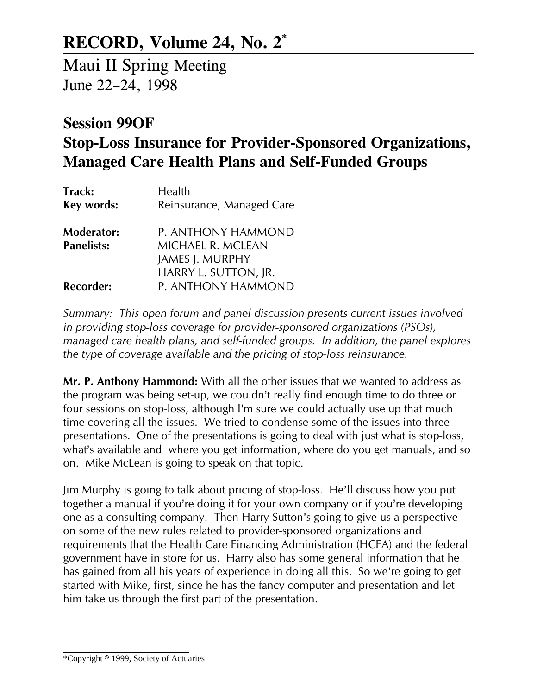## RECORD, Volume 24, No. 2\*

Maui II Spring Meeting June 22-24, 1998

## Session 99OF Stop-Loss Insurance for Provider-Sponsored Organizations, Managed Care Health Plans and Self-Funded Groups

| Track:<br>Key words:                   | Health<br>Reinsurance, Managed Care                                      |
|----------------------------------------|--------------------------------------------------------------------------|
| <b>Moderator:</b><br><b>Panelists:</b> | P. ANTHONY HAMMOND<br><b>MICHAEL R. MCLEAN</b><br><b>JAMES J. MURPHY</b> |
| <b>Recorder:</b>                       | HARRY L. SUTTON, JR.<br>P. ANTHONY HAMMOND                               |

Summary: This open forum and panel discussion presents current issues involved in providing stop-loss coverage for provider-sponsored organizations (PSOs), managed care health plans, and self-funded groups. In addition, the panel explores the type of coverage available and the pricing of stop-loss reinsurance.

Mr. P. Anthony Hammond: With all the other issues that we wanted to address as the program was being set-up, we couldn't really find enough time to do three or four sessions on stop-loss, although I'm sure we could actually use up that much time covering all the issues. We tried to condense some of the issues into three presentations. One of the presentations is going to deal with just what is stop-loss, what's available and where you get information, where do you get manuals, and so on. Mike McLean is going to speak on that topic.

Jim Murphy is going to talk about pricing of stop-loss. He'll discuss how you put together a manual if you're doing it for your own company or if you're developing one as a consulting company. Then Harry Sutton's going to give us a perspective on some of the new rules related to provider-sponsored organizations and requirements that the Health Care Financing Administration (HCFA) and the federal government have in store for us. Harry also has some general information that he has gained from all his years of experience in doing all this. So we're going to get started with Mike, first, since he has the fancy computer and presentation and let him take us through the first part of the presentation.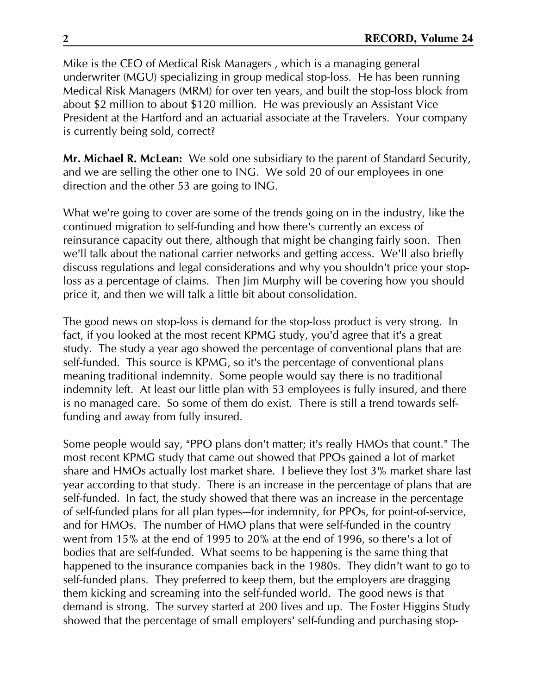Mike is the CEO of Medical Risk Managers , which is a managing general underwriter (MGU) specializing in group medical stop-loss. He has been running Medical Risk Managers (MRM) for over ten years, and built the stop-loss block from about \$2 million to about \$120 million. He was previously an Assistant Vice President at the Hartford and an actuarial associate at the Travelers. Your company is currently being sold, correct?

Mr. Michael R. McLean: We sold one subsidiary to the parent of Standard Security, and we are selling the other one to ING. We sold 20 of our employees in one direction and the other 53 are going to ING.

What we're going to cover are some of the trends going on in the industry, like the continued migration to self-funding and how there's currently an excess of reinsurance capacity out there, although that might be changing fairly soon. Then we'll talk about the national carrier networks and getting access. We'll also briefly discuss regulations and legal considerations and why you shouldn't price your stoploss as a percentage of claims. Then Jim Murphy will be covering how you should price it, and then we will talk a little bit about consolidation.

The good news on stop-loss is demand for the stop-loss product is very strong. In fact, if you looked at the most recent KPMG study, you'd agree that it's a great study. The study a year ago showed the percentage of conventional plans that are self-funded. This source is KPMG, so it's the percentage of conventional plans meaning traditional indemnity. Some people would say there is no traditional indemnity left. At least our little plan with 53 employees is fully insured, and there is no managed care. So some of them do exist. There is still a trend towards selffunding and away from fully insured.

Some people would say, "PPO plans don't matter; it's really HMOs that count." The most recent KPMG study that came out showed that PPOs gained a lot of market share and HMOs actually lost market share. I believe they lost 3% market share last year according to that study. There is an increase in the percentage of plans that are self-funded. In fact, the study showed that there was an increase in the percentage of self-funded plans for all plan types-for indemnity, for PPOs, for point-of-service, and for HMOs. The number of HMO plans that were self-funded in the country went from 15% at the end of 1995 to 20% at the end of 1996, so there's a lot of bodies that are self-funded. What seems to be happening is the same thing that happened to the insurance companies back in the 1980s. They didn't want to go to self-funded plans. They preferred to keep them, but the employers are dragging them kicking and screaming into the self-funded world. The good news is that demand is strong. The survey started at 200 lives and up. The Foster Higgins Study showed that the percentage of small employers' self-funding and purchasing stop-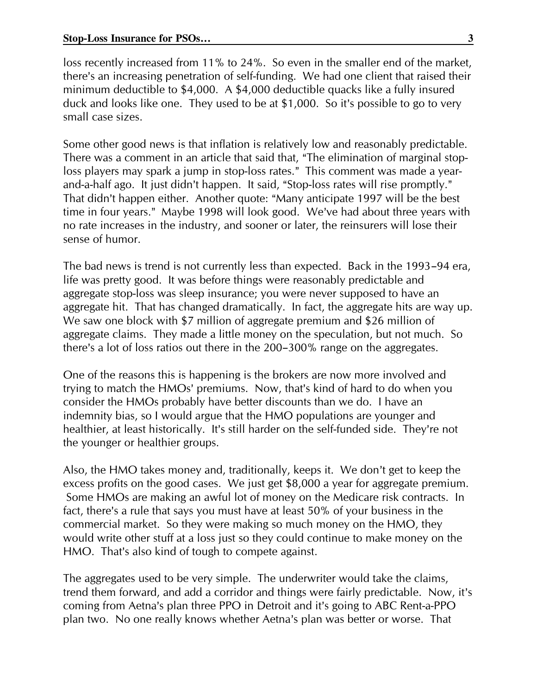loss recently increased from 11% to 24%. So even in the smaller end of the market, there's an increasing penetration of self-funding. We had one client that raised their minimum deductible to \$4,000. A \$4,000 deductible quacks like a fully insured duck and looks like one. They used to be at \$1,000. So it's possible to go to very small case sizes.

Some other good news is that inflation is relatively low and reasonably predictable. There was a comment in an article that said that, "The elimination of marginal stoploss players may spark a jump in stop-loss rates." This comment was made a yearand-a-half ago. It just didn't happen. It said, "Stop-loss rates will rise promptly." That didn't happen either. Another quote: "Many anticipate 1997 will be the best time in four years." Maybe 1998 will look good. We've had about three years with no rate increases in the industry, and sooner or later, the reinsurers will lose their sense of humor.

The bad news is trend is not currently less than expected. Back in the 1993-94 era, life was pretty good. It was before things were reasonably predictable and aggregate stop-loss was sleep insurance; you were never supposed to have an aggregate hit. That has changed dramatically. In fact, the aggregate hits are way up. We saw one block with \$7 million of aggregate premium and \$26 million of aggregate claims. They made a little money on the speculation, but not much. So there's a lot of loss ratios out there in the 200-300% range on the aggregates.

One of the reasons this is happening is the brokers are now more involved and trying to match the HMOs' premiums. Now, that's kind of hard to do when you consider the HMOs probably have better discounts than we do. I have an indemnity bias, so I would argue that the HMO populations are younger and healthier, at least historically. It's still harder on the self-funded side. They're not the younger or healthier groups.

Also, the HMO takes money and, traditionally, keeps it. We don't get to keep the excess profits on the good cases. We just get \$8,000 a year for aggregate premium. Some HMOs are making an awful lot of money on the Medicare risk contracts. In fact, there's a rule that says you must have at least 50% of your business in the commercial market. So they were making so much money on the HMO, they would write other stuff at a loss just so they could continue to make money on the HMO. That's also kind of tough to compete against.

The aggregates used to be very simple. The underwriter would take the claims, trend them forward, and add a corridor and things were fairly predictable. Now, it's coming from Aetna's plan three PPO in Detroit and it's going to ABC Rent-a-PPO plan two. No one really knows whether Aetna's plan was better or worse. That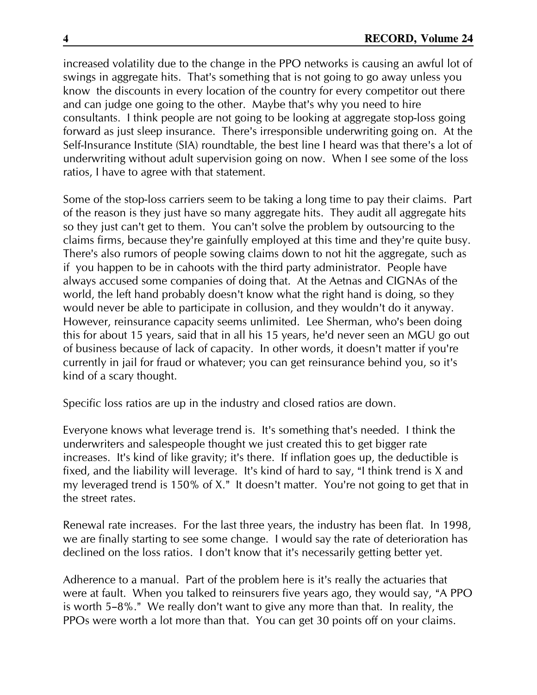increased volatility due to the change in the PPO networks is causing an awful lot of swings in aggregate hits. That's something that is not going to go away unless you know the discounts in every location of the country for every competitor out there and can judge one going to the other. Maybe that's why you need to hire consultants. I think people are not going to be looking at aggregate stop-loss going forward as just sleep insurance. There's irresponsible underwriting going on. At the Self-Insurance Institute (SIA) roundtable, the best line I heard was that there's a lot of underwriting without adult supervision going on now. When I see some of the loss ratios, I have to agree with that statement.

Some of the stop-loss carriers seem to be taking a long time to pay their claims. Part of the reason is they just have so many aggregate hits. They audit all aggregate hits so they just can't get to them. You can't solve the problem by outsourcing to the claims firms, because they're gainfully employed at this time and they're quite busy. There's also rumors of people sowing claims down to not hit the aggregate, such as if you happen to be in cahoots with the third party administrator. People have always accused some companies of doing that. At the Aetnas and CIGNAs of the world, the left hand probably doesn't know what the right hand is doing, so they would never be able to participate in collusion, and they wouldn't do it anyway. However, reinsurance capacity seems unlimited. Lee Sherman, who's been doing this for about 15 years, said that in all his 15 years, he'd never seen an MGU go out of business because of lack of capacity. In other words, it doesn't matter if you're currently in jail for fraud or whatever; you can get reinsurance behind you, so it's kind of a scary thought.

Specific loss ratios are up in the industry and closed ratios are down.

Everyone knows what leverage trend is. It's something that's needed. I think the underwriters and salespeople thought we just created this to get bigger rate increases. It's kind of like gravity; it's there. If inflation goes up, the deductible is fixed, and the liability will leverage. It's kind of hard to say, "I think trend is X and my leveraged trend is 150% of X." It doesn't matter. You're not going to get that in the street rates.

Renewal rate increases. For the last three years, the industry has been flat. In 1998, we are finally starting to see some change. I would say the rate of deterioration has declined on the loss ratios. I don't know that it's necessarily getting better yet.

Adherence to a manual. Part of the problem here is it's really the actuaries that were at fault. When you talked to reinsurers five years ago, they would say, "A PPO is worth 5-8%." We really don't want to give any more than that. In reality, the PPOs were worth a lot more than that. You can get 30 points off on your claims.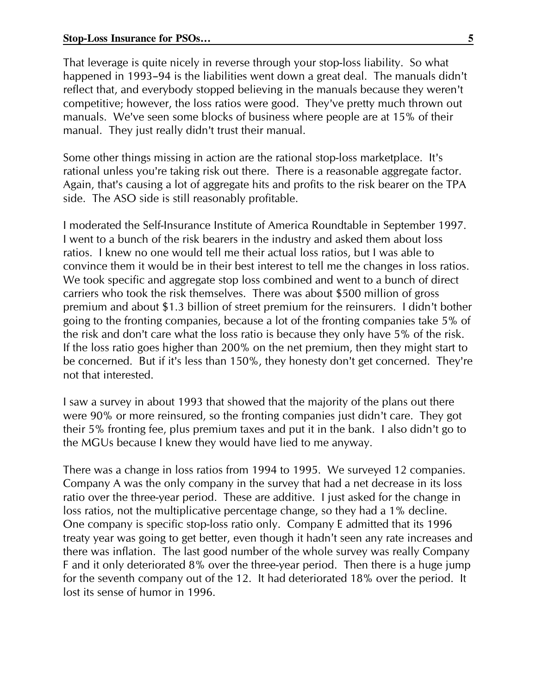That leverage is quite nicely in reverse through your stop-loss liability. So what happened in 1993-94 is the liabilities went down a great deal. The manuals didn't reflect that, and everybody stopped believing in the manuals because they weren't competitive; however, the loss ratios were good. They've pretty much thrown out manuals. We've seen some blocks of business where people are at 15% of their manual. They just really didn't trust their manual.

Some other things missing in action are the rational stop-loss marketplace. It's rational unless you're taking risk out there. There is a reasonable aggregate factor. Again, that's causing a lot of aggregate hits and profits to the risk bearer on the TPA side. The ASO side is still reasonably profitable.

I moderated the Self-Insurance Institute of America Roundtable in September 1997. I went to a bunch of the risk bearers in the industry and asked them about loss ratios. I knew no one would tell me their actual loss ratios, but I was able to convince them it would be in their best interest to tell me the changes in loss ratios. We took specific and aggregate stop loss combined and went to a bunch of direct carriers who took the risk themselves. There was about \$500 million of gross premium and about \$1.3 billion of street premium for the reinsurers. I didn't bother going to the fronting companies, because a lot of the fronting companies take 5% of the risk and don't care what the loss ratio is because they only have 5% of the risk. If the loss ratio goes higher than 200% on the net premium, then they might start to be concerned. But if it's less than 150%, they honesty don't get concerned. They're not that interested.

I saw a survey in about 1993 that showed that the majority of the plans out there were 90% or more reinsured, so the fronting companies just didn't care. They got their 5% fronting fee, plus premium taxes and put it in the bank. I also didn't go to the MGUs because I knew they would have lied to me anyway.

There was a change in loss ratios from 1994 to 1995. We surveyed 12 companies. Company A was the only company in the survey that had a net decrease in its loss ratio over the three-year period. These are additive. I just asked for the change in loss ratios, not the multiplicative percentage change, so they had a 1% decline. One company is specific stop-loss ratio only. Company E admitted that its 1996 treaty year was going to get better, even though it hadn't seen any rate increases and there was inflation. The last good number of the whole survey was really Company F and it only deteriorated 8% over the three-year period. Then there is a huge jump for the seventh company out of the 12. It had deteriorated 18% over the period. It lost its sense of humor in 1996.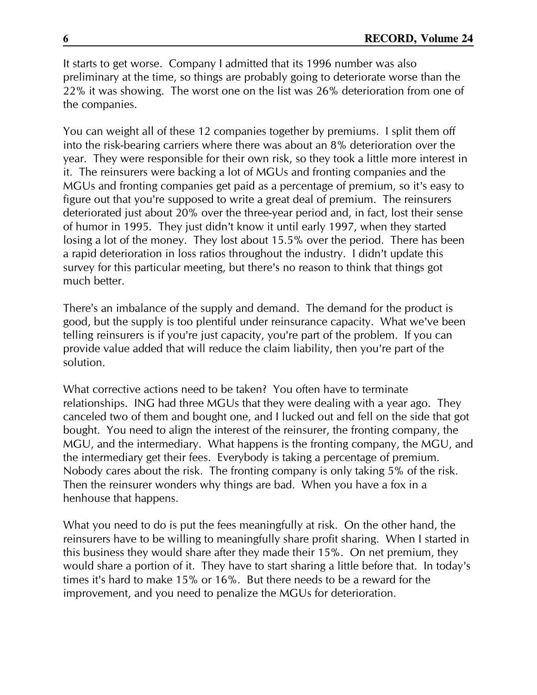It starts to get worse. Company I admitted that its 1996 number was also preliminary at the time, so things are probably going to deteriorate worse than the 22% it was showing. The worst one on the list was 26% deterioration from one of the companies.

You can weight all of these 12 companies together by premiums. I split them off into the risk-bearing carriers where there was about an 8% deterioration over the year. They were responsible for their own risk, so they took a little more interest in it. The reinsurers were backing a lot of MGUs and fronting companies and the MGUs and fronting companies get paid as a percentage of premium, so it's easy to figure out that you're supposed to write a great deal of premium. The reinsurers deteriorated just about 20% over the three-year period and, in fact, lost their sense of humor in 1995. They just didn't know it until early 1997, when they started losing a lot of the money. They lost about 15.5% over the period. There has been a rapid deterioration in loss ratios throughout the industry. I didn't update this survey for this particular meeting, but there's no reason to think that things got much better.

There's an imbalance of the supply and demand. The demand for the product is good, but the supply is too plentiful under reinsurance capacity. What we've been telling reinsurers is if you're just capacity, you're part of the problem. If you can provide value added that will reduce the claim liability, then you're part of the solution.

What corrective actions need to be taken? You often have to terminate relationships. ING had three MGUs that they were dealing with a year ago. They canceled two of them and bought one, and I lucked out and fell on the side that got bought. You need to align the interest of the reinsurer, the fronting company, the MGU, and the intermediary. What happens is the fronting company, the MGU, and the intermediary get their fees. Everybody is taking a percentage of premium. Nobody cares about the risk. The fronting company is only taking 5% of the risk. Then the reinsurer wonders why things are bad. When you have a fox in a henhouse that happens.

What you need to do is put the fees meaningfully at risk. On the other hand, the reinsurers have to be willing to meaningfully share profit sharing. When I started in this business they would share after they made their 15%. On net premium, they would share a portion of it. They have to start sharing a little before that. In today's times it's hard to make 15% or 16%. But there needs to be a reward for the improvement, and you need to penalize the MGUs for deterioration.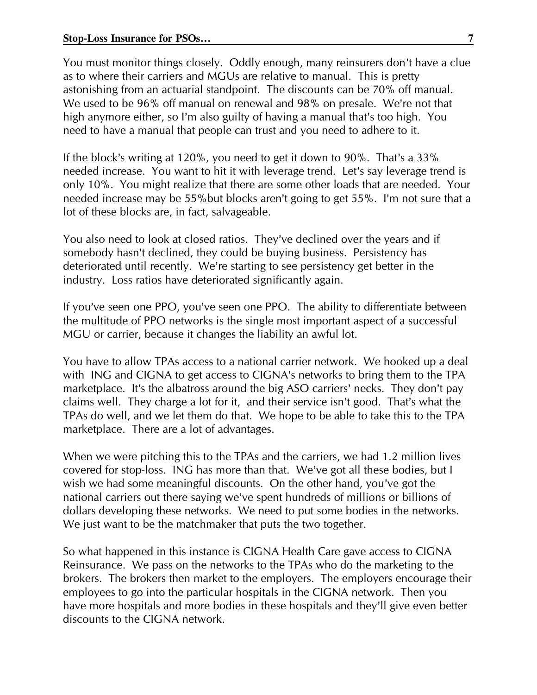You must monitor things closely. Oddly enough, many reinsurers don't have a clue as to where their carriers and MGUs are relative to manual. This is pretty astonishing from an actuarial standpoint. The discounts can be 70% off manual. We used to be 96% off manual on renewal and 98% on presale. We're not that high anymore either, so I'm also guilty of having a manual that's too high. You need to have a manual that people can trust and you need to adhere to it.

If the block's writing at 120%, you need to get it down to 90%. That's a 33% needed increase. You want to hit it with leverage trend. Let's say leverage trend is only 10%. You might realize that there are some other loads that are needed. Your needed increase may be 55%but blocks aren't going to get 55%. I'm not sure that a lot of these blocks are, in fact, salvageable.

You also need to look at closed ratios. They've declined over the years and if somebody hasn't declined, they could be buying business. Persistency has deteriorated until recently. We're starting to see persistency get better in the industry. Loss ratios have deteriorated significantly again.

If you've seen one PPO, you've seen one PPO. The ability to differentiate between the multitude of PPO networks is the single most important aspect of a successful MGU or carrier, because it changes the liability an awful lot.

You have to allow TPAs access to a national carrier network. We hooked up a deal with ING and CIGNA to get access to CIGNA's networks to bring them to the TPA marketplace. It's the albatross around the big ASO carriers' necks. They don't pay claims well. They charge a lot for it, and their service isn't good. That's what the TPAs do well, and we let them do that. We hope to be able to take this to the TPA marketplace. There are a lot of advantages.

When we were pitching this to the TPAs and the carriers, we had 1.2 million lives covered for stop-loss. ING has more than that. We've got all these bodies, but I wish we had some meaningful discounts. On the other hand, you've got the national carriers out there saying we've spent hundreds of millions or billions of dollars developing these networks. We need to put some bodies in the networks. We just want to be the matchmaker that puts the two together.

So what happened in this instance is CIGNA Health Care gave access to CIGNA Reinsurance. We pass on the networks to the TPAs who do the marketing to the brokers. The brokers then market to the employers. The employers encourage their employees to go into the particular hospitals in the CIGNA network. Then you have more hospitals and more bodies in these hospitals and they'll give even better discounts to the CIGNA network.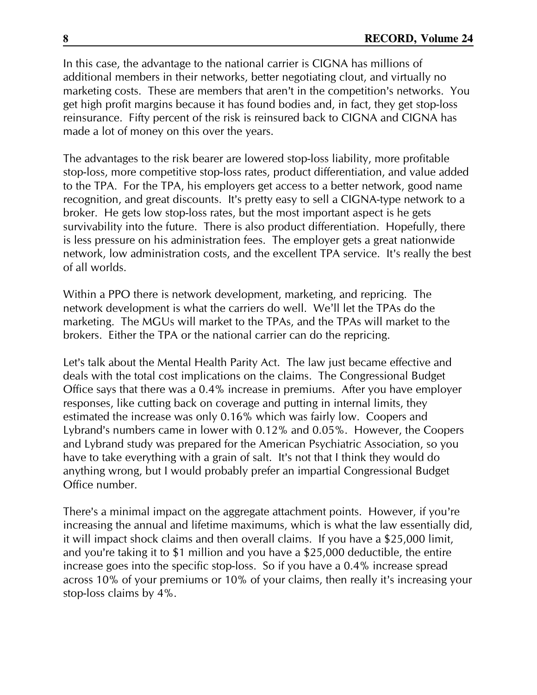In this case, the advantage to the national carrier is CIGNA has millions of additional members in their networks, better negotiating clout, and virtually no marketing costs. These are members that aren't in the competition's networks. You get high profit margins because it has found bodies and, in fact, they get stop-loss reinsurance. Fifty percent of the risk is reinsured back to CIGNA and CIGNA has made a lot of money on this over the years.

The advantages to the risk bearer are lowered stop-loss liability, more profitable stop-loss, more competitive stop-loss rates, product differentiation, and value added to the TPA. For the TPA, his employers get access to a better network, good name recognition, and great discounts. It's pretty easy to sell a CIGNA-type network to a broker. He gets low stop-loss rates, but the most important aspect is he gets survivability into the future. There is also product differentiation. Hopefully, there is less pressure on his administration fees. The employer gets a great nationwide network, low administration costs, and the excellent TPA service. It's really the best of all worlds.

Within a PPO there is network development, marketing, and repricing. The network development is what the carriers do well. We'll let the TPAs do the marketing. The MGUs will market to the TPAs, and the TPAs will market to the brokers. Either the TPA or the national carrier can do the repricing.

Let's talk about the Mental Health Parity Act. The law just became effective and deals with the total cost implications on the claims. The Congressional Budget Office says that there was a 0.4% increase in premiums. After you have employer responses, like cutting back on coverage and putting in internal limits, they estimated the increase was only 0.16% which was fairly low. Coopers and Lybrand's numbers came in lower with 0.12% and 0.05%. However, the Coopers and Lybrand study was prepared for the American Psychiatric Association, so you have to take everything with a grain of salt. It's not that I think they would do anything wrong, but I would probably prefer an impartial Congressional Budget Office number.

There's a minimal impact on the aggregate attachment points. However, if you're increasing the annual and lifetime maximums, which is what the law essentially did, it will impact shock claims and then overall claims. If you have a \$25,000 limit, and you're taking it to \$1 million and you have a \$25,000 deductible, the entire increase goes into the specific stop-loss. So if you have a 0.4% increase spread across 10% of your premiums or 10% of your claims, then really it's increasing your stop-loss claims by 4%.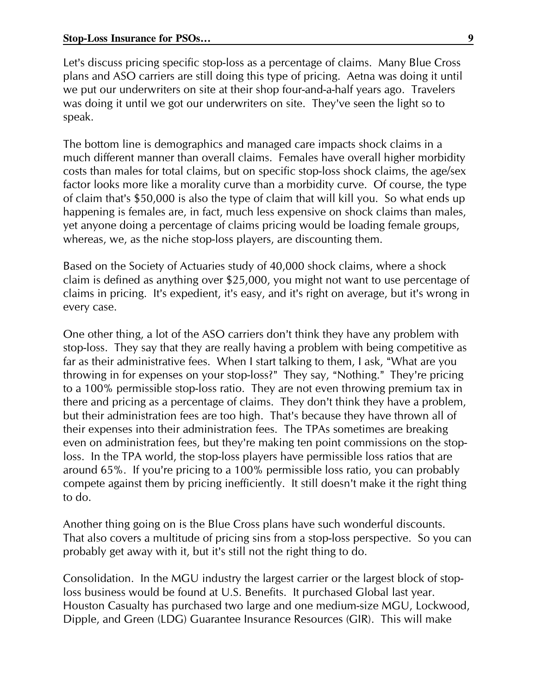Let's discuss pricing specific stop-loss as a percentage of claims. Many Blue Cross plans and ASO carriers are still doing this type of pricing. Aetna was doing it until we put our underwriters on site at their shop four-and-a-half years ago. Travelers was doing it until we got our underwriters on site. They've seen the light so to speak.

The bottom line is demographics and managed care impacts shock claims in a much different manner than overall claims. Females have overall higher morbidity costs than males for total claims, but on specific stop-loss shock claims, the age/sex factor looks more like a morality curve than a morbidity curve. Of course, the type of claim that's \$50,000 is also the type of claim that will kill you. So what ends up happening is females are, in fact, much less expensive on shock claims than males, yet anyone doing a percentage of claims pricing would be loading female groups, whereas, we, as the niche stop-loss players, are discounting them.

Based on the Society of Actuaries study of 40,000 shock claims, where a shock claim is defined as anything over \$25,000, you might not want to use percentage of claims in pricing. It's expedient, it's easy, and it's right on average, but it's wrong in every case.

One other thing, a lot of the ASO carriers don't think they have any problem with stop-loss. They say that they are really having a problem with being competitive as far as their administrative fees. When I start talking to them, I ask, "What are you throwing in for expenses on your stop-loss?" They say, "Nothing." They're pricing to a 100% permissible stop-loss ratio. They are not even throwing premium tax in there and pricing as a percentage of claims. They don't think they have a problem, but their administration fees are too high. That's because they have thrown all of their expenses into their administration fees. The TPAs sometimes are breaking even on administration fees, but they're making ten point commissions on the stoploss. In the TPA world, the stop-loss players have permissible loss ratios that are around 65%. If you're pricing to a 100% permissible loss ratio, you can probably compete against them by pricing inefficiently. It still doesn't make it the right thing to do.

Another thing going on is the Blue Cross plans have such wonderful discounts. That also covers a multitude of pricing sins from a stop-loss perspective. So you can probably get away with it, but it's still not the right thing to do.

Consolidation. In the MGU industry the largest carrier or the largest block of stoploss business would be found at U.S. Benefits. It purchased Global last year. Houston Casualty has purchased two large and one medium-size MGU, Lockwood, Dipple, and Green (LDG) Guarantee Insurance Resources (GIR). This will make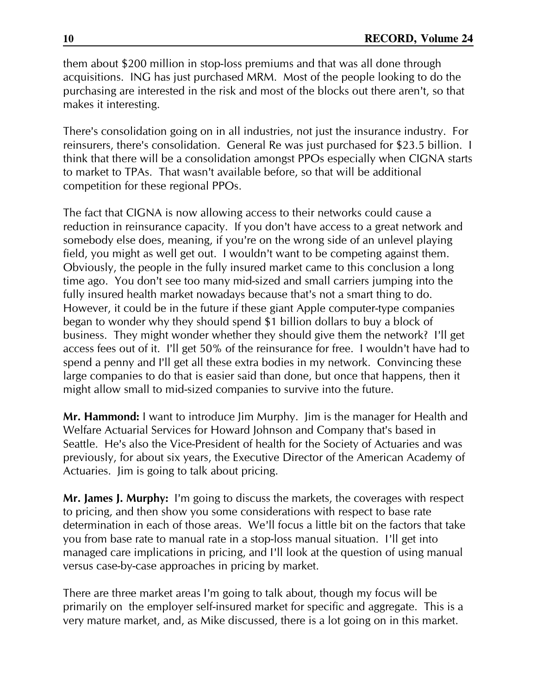them about \$200 million in stop-loss premiums and that was all done through acquisitions. ING has just purchased MRM. Most of the people looking to do the purchasing are interested in the risk and most of the blocks out there aren't, so that makes it interesting.

There's consolidation going on in all industries, not just the insurance industry. For reinsurers, there's consolidation. General Re was just purchased for \$23.5 billion. I think that there will be a consolidation amongst PPOs especially when CIGNA starts to market to TPAs. That wasn't available before, so that will be additional competition for these regional PPOs.

The fact that CIGNA is now allowing access to their networks could cause a reduction in reinsurance capacity. If you don't have access to a great network and somebody else does, meaning, if you're on the wrong side of an unlevel playing field, you might as well get out. I wouldn't want to be competing against them. Obviously, the people in the fully insured market came to this conclusion a long time ago. You don't see too many mid-sized and small carriers jumping into the fully insured health market nowadays because that's not a smart thing to do. However, it could be in the future if these giant Apple computer-type companies began to wonder why they should spend \$1 billion dollars to buy a block of business. They might wonder whether they should give them the network? I'll get access fees out of it. I'll get 50% of the reinsurance for free. I wouldn't have had to spend a penny and I'll get all these extra bodies in my network. Convincing these large companies to do that is easier said than done, but once that happens, then it might allow small to mid-sized companies to survive into the future.

Mr. Hammond: I want to introduce Jim Murphy. Jim is the manager for Health and Welfare Actuarial Services for Howard Johnson and Company that's based in Seattle. He's also the Vice-President of health for the Society of Actuaries and was previously, for about six years, the Executive Director of the American Academy of Actuaries. Jim is going to talk about pricing.

Mr. James J. Murphy: I'm going to discuss the markets, the coverages with respect to pricing, and then show you some considerations with respect to base rate determination in each of those areas. We'll focus a little bit on the factors that take you from base rate to manual rate in a stop-loss manual situation. I'll get into managed care implications in pricing, and I'll look at the question of using manual versus case-by-case approaches in pricing by market.

There are three market areas I'm going to talk about, though my focus will be primarily on the employer self-insured market for specific and aggregate. This is a very mature market, and, as Mike discussed, there is a lot going on in this market.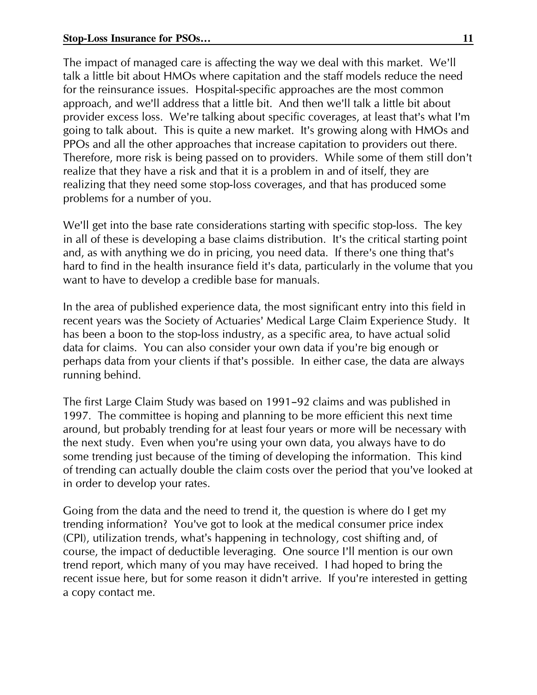The impact of managed care is affecting the way we deal with this market. We'll talk a little bit about HMOs where capitation and the staff models reduce the need for the reinsurance issues. Hospital-specific approaches are the most common approach, and we'll address that a little bit. And then we'll talk a little bit about provider excess loss. We're talking about specific coverages, at least that's what I'm going to talk about. This is quite a new market. It's growing along with HMOs and PPOs and all the other approaches that increase capitation to providers out there. Therefore, more risk is being passed on to providers. While some of them still don't realize that they have a risk and that it is a problem in and of itself, they are realizing that they need some stop-loss coverages, and that has produced some problems for a number of you.

We'll get into the base rate considerations starting with specific stop-loss. The key in all of these is developing a base claims distribution. It's the critical starting point and, as with anything we do in pricing, you need data. If there's one thing that's hard to find in the health insurance field it's data, particularly in the volume that you want to have to develop a credible base for manuals.

In the area of published experience data, the most significant entry into this field in recent years was the Society of Actuaries' Medical Large Claim Experience Study. It has been a boon to the stop-loss industry, as a specific area, to have actual solid data for claims. You can also consider your own data if you're big enough or perhaps data from your clients if that's possible. In either case, the data are always running behind.

The first Large Claim Study was based on 1991-92 claims and was published in 1997. The committee is hoping and planning to be more efficient this next time around, but probably trending for at least four years or more will be necessary with the next study. Even when you're using your own data, you always have to do some trending just because of the timing of developing the information. This kind of trending can actually double the claim costs over the period that you've looked at in order to develop your rates.

Going from the data and the need to trend it, the question is where do I get my trending information? You've got to look at the medical consumer price index (CPI), utilization trends, what's happening in technology, cost shifting and, of course, the impact of deductible leveraging. One source I'll mention is our own trend report, which many of you may have received. I had hoped to bring the recent issue here, but for some reason it didn't arrive. If you're interested in getting a copy contact me.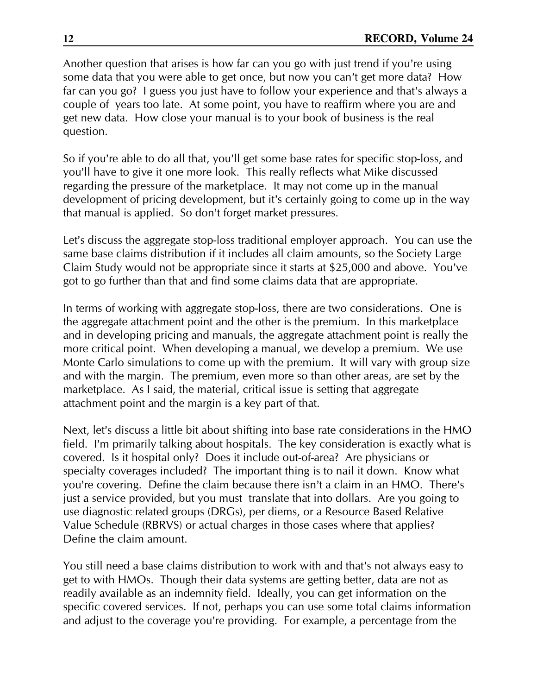Another question that arises is how far can you go with just trend if you're using some data that you were able to get once, but now you can't get more data? How far can you go? I guess you just have to follow your experience and that's always a couple of years too late. At some point, you have to reaffirm where you are and get new data. How close your manual is to your book of business is the real question.

So if you're able to do all that, you'll get some base rates for specific stop-loss, and you'll have to give it one more look. This really reflects what Mike discussed regarding the pressure of the marketplace. It may not come up in the manual development of pricing development, but it's certainly going to come up in the way that manual is applied. So don't forget market pressures.

Let's discuss the aggregate stop-loss traditional employer approach. You can use the same base claims distribution if it includes all claim amounts, so the Society Large Claim Study would not be appropriate since it starts at \$25,000 and above. You've got to go further than that and find some claims data that are appropriate.

In terms of working with aggregate stop-loss, there are two considerations. One is the aggregate attachment point and the other is the premium. In this marketplace and in developing pricing and manuals, the aggregate attachment point is really the more critical point. When developing a manual, we develop a premium. We use Monte Carlo simulations to come up with the premium. It will vary with group size and with the margin. The premium, even more so than other areas, are set by the marketplace. As I said, the material, critical issue is setting that aggregate attachment point and the margin is a key part of that.

Next, let's discuss a little bit about shifting into base rate considerations in the HMO field. I'm primarily talking about hospitals. The key consideration is exactly what is covered. Is it hospital only? Does it include out-of-area? Are physicians or specialty coverages included? The important thing is to nail it down. Know what you're covering. Define the claim because there isn't a claim in an HMO. There's just a service provided, but you must translate that into dollars. Are you going to use diagnostic related groups (DRGs), per diems, or a Resource Based Relative Value Schedule (RBRVS) or actual charges in those cases where that applies? Define the claim amount.

You still need a base claims distribution to work with and that's not always easy to get to with HMOs. Though their data systems are getting better, data are not as readily available as an indemnity field. Ideally, you can get information on the specific covered services. If not, perhaps you can use some total claims information and adjust to the coverage you're providing. For example, a percentage from the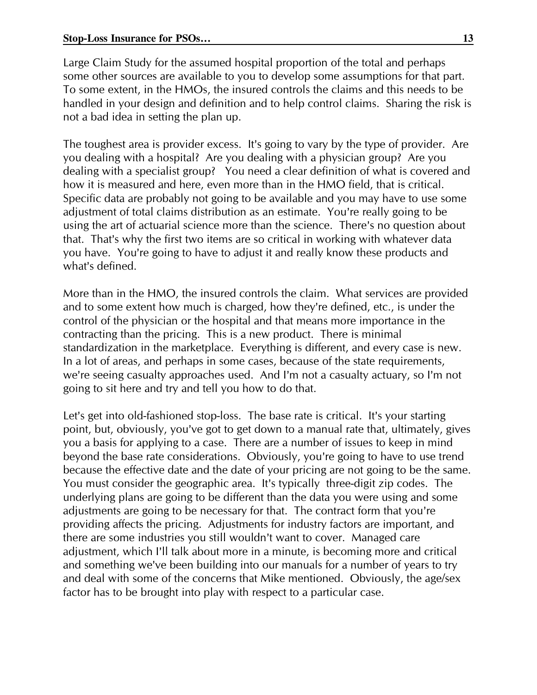Large Claim Study for the assumed hospital proportion of the total and perhaps some other sources are available to you to develop some assumptions for that part. To some extent, in the HMOs, the insured controls the claims and this needs to be handled in your design and definition and to help control claims. Sharing the risk is not a bad idea in setting the plan up.

The toughest area is provider excess. It's going to vary by the type of provider. Are you dealing with a hospital? Are you dealing with a physician group? Are you dealing with a specialist group? You need a clear definition of what is covered and how it is measured and here, even more than in the HMO field, that is critical. Specific data are probably not going to be available and you may have to use some adjustment of total claims distribution as an estimate. You're really going to be using the art of actuarial science more than the science. There's no question about that. That's why the first two items are so critical in working with whatever data you have. You're going to have to adjust it and really know these products and what's defined.

More than in the HMO, the insured controls the claim. What services are provided and to some extent how much is charged, how they're defined, etc., is under the control of the physician or the hospital and that means more importance in the contracting than the pricing. This is a new product. There is minimal standardization in the marketplace. Everything is different, and every case is new. In a lot of areas, and perhaps in some cases, because of the state requirements, we're seeing casualty approaches used. And I'm not a casualty actuary, so I'm not going to sit here and try and tell you how to do that.

Let's get into old-fashioned stop-loss. The base rate is critical. It's your starting point, but, obviously, you've got to get down to a manual rate that, ultimately, gives you a basis for applying to a case. There are a number of issues to keep in mind beyond the base rate considerations. Obviously, you're going to have to use trend because the effective date and the date of your pricing are not going to be the same. You must consider the geographic area. It's typically three-digit zip codes. The underlying plans are going to be different than the data you were using and some adjustments are going to be necessary for that. The contract form that you're providing affects the pricing. Adjustments for industry factors are important, and there are some industries you still wouldn't want to cover. Managed care adjustment, which I'll talk about more in a minute, is becoming more and critical and something we've been building into our manuals for a number of years to try and deal with some of the concerns that Mike mentioned. Obviously, the age/sex factor has to be brought into play with respect to a particular case.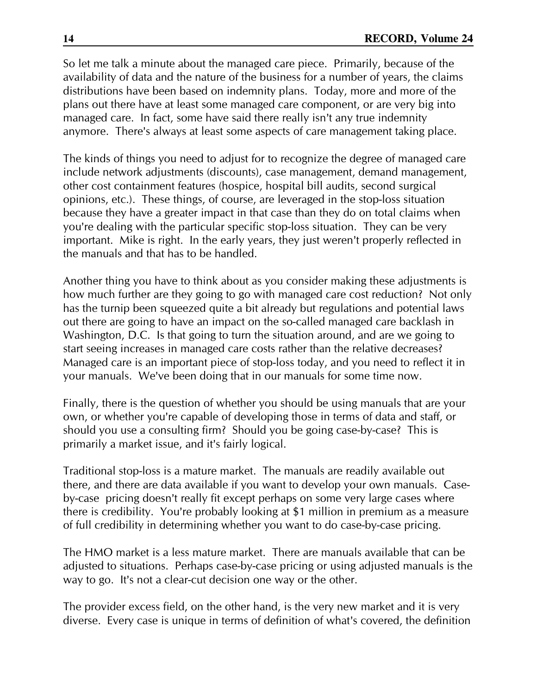So let me talk a minute about the managed care piece. Primarily, because of the availability of data and the nature of the business for a number of years, the claims distributions have been based on indemnity plans. Today, more and more of the plans out there have at least some managed care component, or are very big into managed care. In fact, some have said there really isn't any true indemnity anymore. There's always at least some aspects of care management taking place.

The kinds of things you need to adjust for to recognize the degree of managed care include network adjustments (discounts), case management, demand management, other cost containment features (hospice, hospital bill audits, second surgical opinions, etc.). These things, of course, are leveraged in the stop-loss situation because they have a greater impact in that case than they do on total claims when you're dealing with the particular specific stop-loss situation. They can be very important. Mike is right. In the early years, they just weren't properly reflected in the manuals and that has to be handled.

Another thing you have to think about as you consider making these adjustments is how much further are they going to go with managed care cost reduction? Not only has the turnip been squeezed quite a bit already but regulations and potential laws out there are going to have an impact on the so-called managed care backlash in Washington, D.C. Is that going to turn the situation around, and are we going to start seeing increases in managed care costs rather than the relative decreases? Managed care is an important piece of stop-loss today, and you need to reflect it in your manuals. We've been doing that in our manuals for some time now.

Finally, there is the question of whether you should be using manuals that are your own, or whether you're capable of developing those in terms of data and staff, or should you use a consulting firm? Should you be going case-by-case? This is primarily a market issue, and it's fairly logical.

Traditional stop-loss is a mature market. The manuals are readily available out there, and there are data available if you want to develop your own manuals. Caseby-case pricing doesn't really fit except perhaps on some very large cases where there is credibility. You're probably looking at \$1 million in premium as a measure of full credibility in determining whether you want to do case-by-case pricing.

The HMO market is a less mature market. There are manuals available that can be adjusted to situations. Perhaps case-by-case pricing or using adjusted manuals is the way to go. It's not a clear-cut decision one way or the other.

The provider excess field, on the other hand, is the very new market and it is very diverse. Every case is unique in terms of definition of what's covered, the definition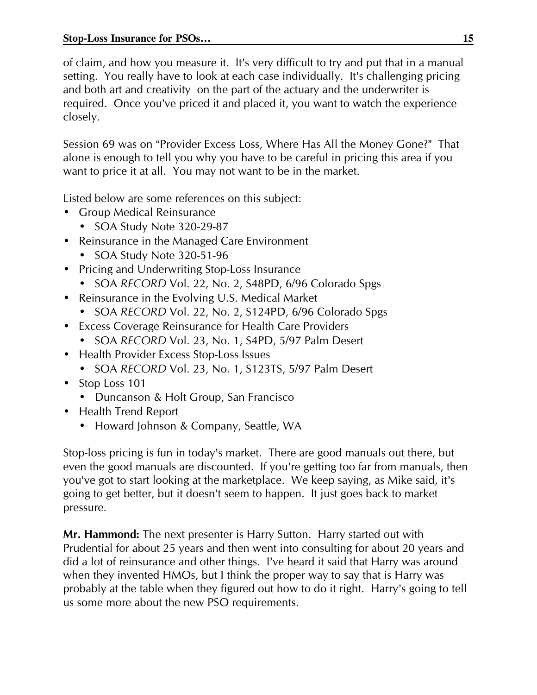of claim, and how you measure it. It's very difficult to try and put that in a manual setting. You really have to look at each case individually. It's challenging pricing and both art and creativity on the part of the actuary and the underwriter is required. Once you've priced it and placed it, you want to watch the experience closely.

Session 69 was on "Provider Excess Loss, Where Has All the Money Gone?" That alone is enough to tell you why you have to be careful in pricing this area if you want to price it at all. You may not want to be in the market.

Listed below are some references on this subject:

- Group Medical Reinsurance
	- SOA Study Note 320-29-87
- Reinsurance in the Managed Care Environment
	- SOA Study Note 320-51-96
- Pricing and Underwriting Stop-Loss Insurance
	- SOA RECORD Vol. 22, No. 2, S48PD, 6/96 Colorado Spgs
- Reinsurance in the Evolving U.S. Medical Market
	- SOA RECORD Vol. 22, No. 2, S124PD, 6/96 Colorado Spgs
- Excess Coverage Reinsurance for Health Care Providers
	- SOA RECORD Vol. 23, No. 1, S4PD, 5/97 Palm Desert
- Health Provider Excess Stop-Loss Issues
	- SOA RECORD Vol. 23, No. 1, S123TS, 5/97 Palm Desert
- Stop Loss 101
	- Duncanson & Holt Group, San Francisco
- Health Trend Report
	- Howard Johnson & Company, Seattle, WA

Stop-loss pricing is fun in today's market. There are good manuals out there, but even the good manuals are discounted. If you're getting too far from manuals, then you've got to start looking at the marketplace. We keep saying, as Mike said, it's going to get better, but it doesn't seem to happen. It just goes back to market pressure.

Mr. Hammond: The next presenter is Harry Sutton. Harry started out with Prudential for about 25 years and then went into consulting for about 20 years and did a lot of reinsurance and other things. I've heard it said that Harry was around when they invented HMOs, but I think the proper way to say that is Harry was probably at the table when they figured out how to do it right. Harry's going to tell us some more about the new PSO requirements.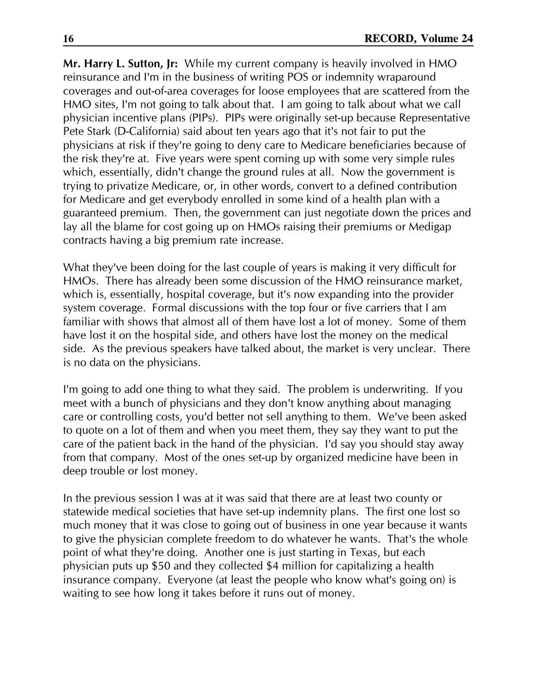Mr. Harry L. Sutton, Ir: While my current company is heavily involved in HMO reinsurance and I'm in the business of writing POS or indemnity wraparound coverages and out-of-area coverages for loose employees that are scattered from the HMO sites, I'm not going to talk about that. I am going to talk about what we call physician incentive plans (PIPs). PIPs were originally set-up because Representative Pete Stark (D-California) said about ten years ago that it's not fair to put the physicians at risk if they're going to deny care to Medicare beneficiaries because of the risk they're at. Five years were spent coming up with some very simple rules which, essentially, didn't change the ground rules at all. Now the government is trying to privatize Medicare, or, in other words, convert to a defined contribution for Medicare and get everybody enrolled in some kind of a health plan with a guaranteed premium. Then, the government can just negotiate down the prices and lay all the blame for cost going up on HMOs raising their premiums or Medigap contracts having a big premium rate increase.

What they've been doing for the last couple of years is making it very difficult for HMOs. There has already been some discussion of the HMO reinsurance market, which is, essentially, hospital coverage, but it's now expanding into the provider system coverage. Formal discussions with the top four or five carriers that I am familiar with shows that almost all of them have lost a lot of money. Some of them have lost it on the hospital side, and others have lost the money on the medical side. As the previous speakers have talked about, the market is very unclear. There is no data on the physicians.

I'm going to add one thing to what they said. The problem is underwriting. If you meet with a bunch of physicians and they don't know anything about managing care or controlling costs, you'd better not sell anything to them. We've been asked to quote on a lot of them and when you meet them, they say they want to put the care of the patient back in the hand of the physician. I'd say you should stay away from that company. Most of the ones set-up by organized medicine have been in deep trouble or lost money.

In the previous session I was at it was said that there are at least two county or statewide medical societies that have set-up indemnity plans. The first one lost so much money that it was close to going out of business in one year because it wants to give the physician complete freedom to do whatever he wants. That's the whole point of what they're doing. Another one is just starting in Texas, but each physician puts up \$50 and they collected \$4 million for capitalizing a health insurance company. Everyone (at least the people who know what's going on) is waiting to see how long it takes before it runs out of money.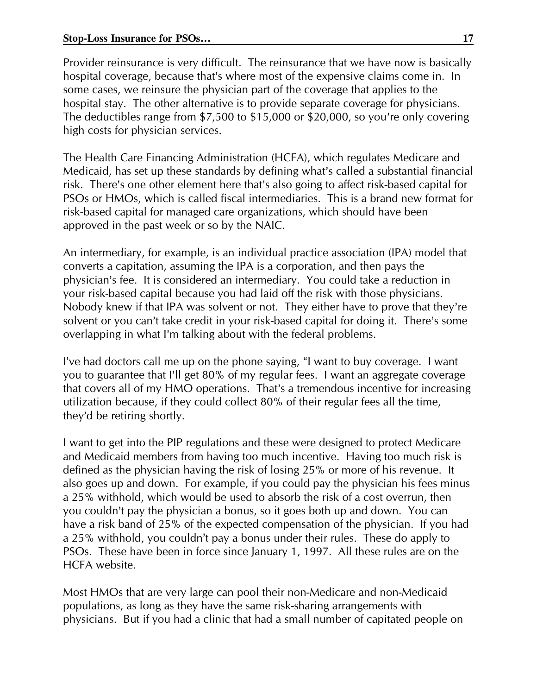Provider reinsurance is very difficult. The reinsurance that we have now is basically hospital coverage, because that's where most of the expensive claims come in. In some cases, we reinsure the physician part of the coverage that applies to the hospital stay. The other alternative is to provide separate coverage for physicians. The deductibles range from \$7,500 to \$15,000 or \$20,000, so you're only covering high costs for physician services.

The Health Care Financing Administration (HCFA), which regulates Medicare and Medicaid, has set up these standards by defining what's called a substantial financial risk. There's one other element here that's also going to affect risk-based capital for PSOs or HMOs, which is called fiscal intermediaries. This is a brand new format for risk-based capital for managed care organizations, which should have been approved in the past week or so by the NAIC.

An intermediary, for example, is an individual practice association (IPA) model that converts a capitation, assuming the IPA is a corporation, and then pays the physician's fee. It is considered an intermediary. You could take a reduction in your risk-based capital because you had laid off the risk with those physicians. Nobody knew if that IPA was solvent or not. They either have to prove that they're solvent or you can't take credit in your risk-based capital for doing it. There's some overlapping in what I'm talking about with the federal problems.

I've had doctors call me up on the phone saying, "I want to buy coverage. I want you to guarantee that I'll get 80% of my regular fees. I want an aggregate coverage that covers all of my HMO operations. That's a tremendous incentive for increasing utilization because, if they could collect 80% of their regular fees all the time, they'd be retiring shortly.

I want to get into the PIP regulations and these were designed to protect Medicare and Medicaid members from having too much incentive. Having too much risk is defined as the physician having the risk of losing 25% or more of his revenue. It also goes up and down. For example, if you could pay the physician his fees minus a 25% withhold, which would be used to absorb the risk of a cost overrun, then you couldn't pay the physician a bonus, so it goes both up and down. You can have a risk band of 25% of the expected compensation of the physician. If you had a 25% withhold, you couldn't pay a bonus under their rules. These do apply to PSOs. These have been in force since January 1, 1997. All these rules are on the HCFA website.

Most HMOs that are very large can pool their non-Medicare and non-Medicaid populations, as long as they have the same risk-sharing arrangements with physicians. But if you had a clinic that had a small number of capitated people on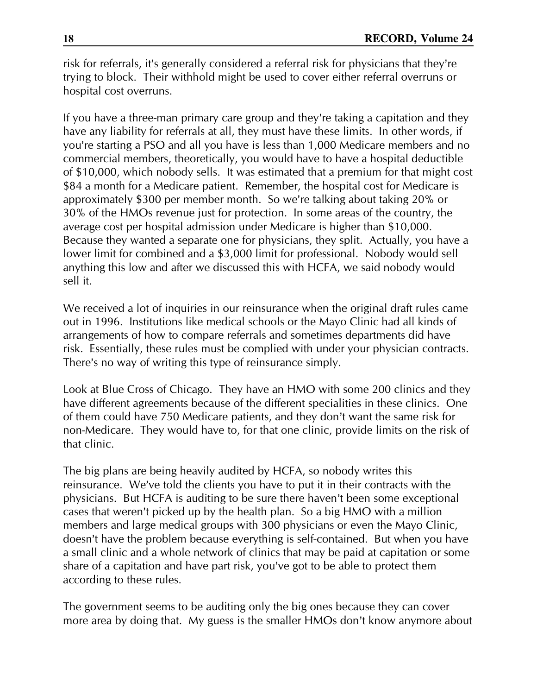risk for referrals, it's generally considered a referral risk for physicians that they're trying to block. Their withhold might be used to cover either referral overruns or hospital cost overruns.

If you have a three-man primary care group and they're taking a capitation and they have any liability for referrals at all, they must have these limits. In other words, if you're starting a PSO and all you have is less than 1,000 Medicare members and no commercial members, theoretically, you would have to have a hospital deductible of \$10,000, which nobody sells. It was estimated that a premium for that might cost \$84 a month for a Medicare patient. Remember, the hospital cost for Medicare is approximately \$300 per member month. So we're talking about taking 20% or 30% of the HMOs revenue just for protection. In some areas of the country, the average cost per hospital admission under Medicare is higher than \$10,000. Because they wanted a separate one for physicians, they split. Actually, you have a lower limit for combined and a \$3,000 limit for professional. Nobody would sell anything this low and after we discussed this with HCFA, we said nobody would sell it.

We received a lot of inquiries in our reinsurance when the original draft rules came out in 1996. Institutions like medical schools or the Mayo Clinic had all kinds of arrangements of how to compare referrals and sometimes departments did have risk. Essentially, these rules must be complied with under your physician contracts. There's no way of writing this type of reinsurance simply.

Look at Blue Cross of Chicago. They have an HMO with some 200 clinics and they have different agreements because of the different specialities in these clinics. One of them could have 750 Medicare patients, and they don't want the same risk for non-Medicare. They would have to, for that one clinic, provide limits on the risk of that clinic.

The big plans are being heavily audited by HCFA, so nobody writes this reinsurance. We've told the clients you have to put it in their contracts with the physicians. But HCFA is auditing to be sure there haven't been some exceptional cases that weren't picked up by the health plan. So a big HMO with a million members and large medical groups with 300 physicians or even the Mayo Clinic, doesn't have the problem because everything is self-contained. But when you have a small clinic and a whole network of clinics that may be paid at capitation or some share of a capitation and have part risk, you've got to be able to protect them according to these rules.

The government seems to be auditing only the big ones because they can cover more area by doing that. My guess is the smaller HMOs don't know anymore about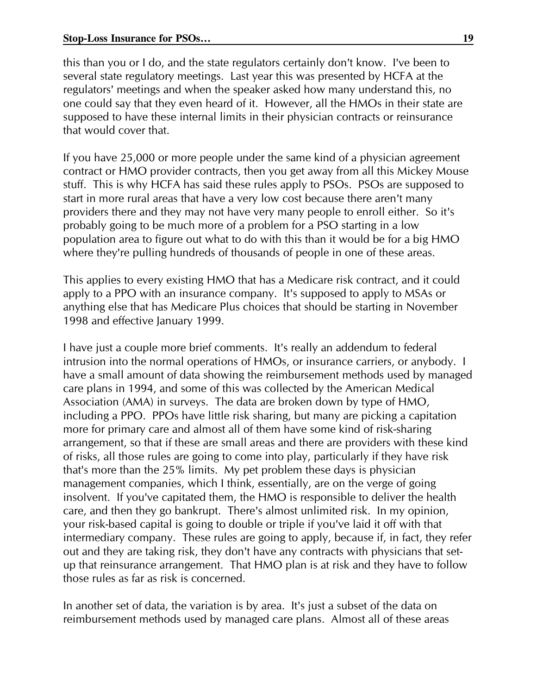this than you or I do, and the state regulators certainly don't know. I've been to several state regulatory meetings. Last year this was presented by HCFA at the regulators' meetings and when the speaker asked how many understand this, no one could say that they even heard of it. However, all the HMOs in their state are supposed to have these internal limits in their physician contracts or reinsurance that would cover that.

If you have 25,000 or more people under the same kind of a physician agreement contract or HMO provider contracts, then you get away from all this Mickey Mouse stuff. This is why HCFA has said these rules apply to PSOs. PSOs are supposed to start in more rural areas that have a very low cost because there aren't many providers there and they may not have very many people to enroll either. So it's probably going to be much more of a problem for a PSO starting in a low population area to figure out what to do with this than it would be for a big HMO where they're pulling hundreds of thousands of people in one of these areas.

This applies to every existing HMO that has a Medicare risk contract, and it could apply to a PPO with an insurance company. It's supposed to apply to MSAs or anything else that has Medicare Plus choices that should be starting in November 1998 and effective January 1999.

I have just a couple more brief comments. It's really an addendum to federal intrusion into the normal operations of HMOs, or insurance carriers, or anybody. I have a small amount of data showing the reimbursement methods used by managed care plans in 1994, and some of this was collected by the American Medical Association (AMA) in surveys. The data are broken down by type of HMO, including a PPO. PPOs have little risk sharing, but many are picking a capitation more for primary care and almost all of them have some kind of risk-sharing arrangement, so that if these are small areas and there are providers with these kind of risks, all those rules are going to come into play, particularly if they have risk that's more than the 25% limits. My pet problem these days is physician management companies, which I think, essentially, are on the verge of going insolvent. If you've capitated them, the HMO is responsible to deliver the health care, and then they go bankrupt. There's almost unlimited risk. In my opinion, your risk-based capital is going to double or triple if you've laid it off with that intermediary company. These rules are going to apply, because if, in fact, they refer out and they are taking risk, they don't have any contracts with physicians that setup that reinsurance arrangement. That HMO plan is at risk and they have to follow those rules as far as risk is concerned.

In another set of data, the variation is by area. It's just a subset of the data on reimbursement methods used by managed care plans. Almost all of these areas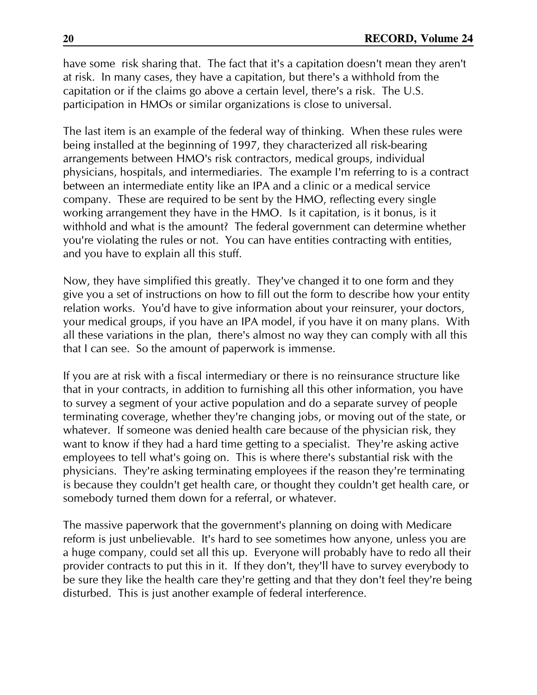have some risk sharing that. The fact that it's a capitation doesn't mean they aren't at risk. In many cases, they have a capitation, but there's a withhold from the capitation or if the claims go above a certain level, there's a risk. The U.S. participation in HMOs or similar organizations is close to universal.

The last item is an example of the federal way of thinking. When these rules were being installed at the beginning of 1997, they characterized all risk-bearing arrangements between HMO's risk contractors, medical groups, individual physicians, hospitals, and intermediaries. The example I'm referring to is a contract between an intermediate entity like an IPA and a clinic or a medical service company. These are required to be sent by the HMO, reflecting every single working arrangement they have in the HMO. Is it capitation, is it bonus, is it withhold and what is the amount? The federal government can determine whether you're violating the rules or not. You can have entities contracting with entities, and you have to explain all this stuff.

Now, they have simplified this greatly. They've changed it to one form and they give you a set of instructions on how to fill out the form to describe how your entity relation works. You'd have to give information about your reinsurer, your doctors, your medical groups, if you have an IPA model, if you have it on many plans. With all these variations in the plan, there's almost no way they can comply with all this that I can see. So the amount of paperwork is immense.

If you are at risk with a fiscal intermediary or there is no reinsurance structure like that in your contracts, in addition to furnishing all this other information, you have to survey a segment of your active population and do a separate survey of people terminating coverage, whether they're changing jobs, or moving out of the state, or whatever. If someone was denied health care because of the physician risk, they want to know if they had a hard time getting to a specialist. They're asking active employees to tell what's going on. This is where there's substantial risk with the physicians. They're asking terminating employees if the reason they're terminating is because they couldn't get health care, or thought they couldn't get health care, or somebody turned them down for a referral, or whatever.

The massive paperwork that the government's planning on doing with Medicare reform is just unbelievable. It's hard to see sometimes how anyone, unless you are a huge company, could set all this up. Everyone will probably have to redo all their provider contracts to put this in it. If they don't, they'll have to survey everybody to be sure they like the health care they're getting and that they don't feel they're being disturbed. This is just another example of federal interference.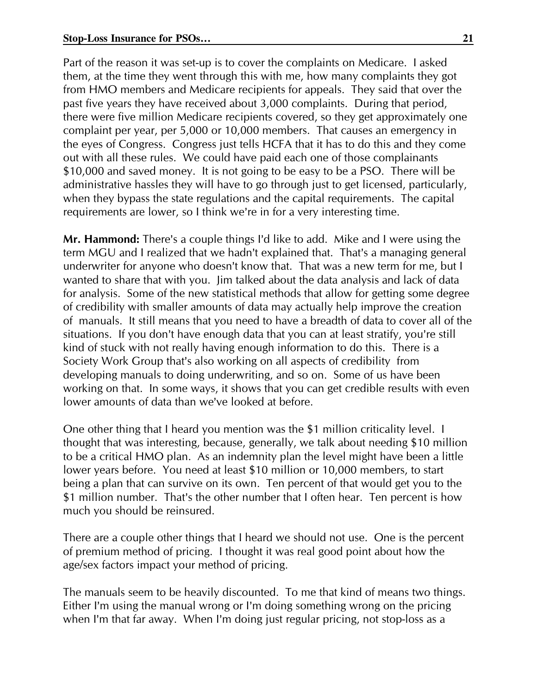Part of the reason it was set-up is to cover the complaints on Medicare. I asked them, at the time they went through this with me, how many complaints they got from HMO members and Medicare recipients for appeals. They said that over the past five years they have received about 3,000 complaints. During that period, there were five million Medicare recipients covered, so they get approximately one complaint per year, per 5,000 or 10,000 members. That causes an emergency in the eyes of Congress. Congress just tells HCFA that it has to do this and they come out with all these rules. We could have paid each one of those complainants \$10,000 and saved money. It is not going to be easy to be a PSO. There will be administrative hassles they will have to go through just to get licensed, particularly, when they bypass the state regulations and the capital requirements. The capital requirements are lower, so I think we're in for a very interesting time.

Mr. Hammond: There's a couple things I'd like to add. Mike and I were using the term MGU and I realized that we hadn't explained that. That's a managing general underwriter for anyone who doesn't know that. That was a new term for me, but I wanted to share that with you. Jim talked about the data analysis and lack of data for analysis. Some of the new statistical methods that allow for getting some degree of credibility with smaller amounts of data may actually help improve the creation of manuals. It still means that you need to have a breadth of data to cover all of the situations. If you don't have enough data that you can at least stratify, you're still kind of stuck with not really having enough information to do this. There is a Society Work Group that's also working on all aspects of credibility from developing manuals to doing underwriting, and so on. Some of us have been working on that. In some ways, it shows that you can get credible results with even lower amounts of data than we've looked at before.

One other thing that I heard you mention was the \$1 million criticality level. I thought that was interesting, because, generally, we talk about needing \$10 million to be a critical HMO plan. As an indemnity plan the level might have been a little lower years before. You need at least \$10 million or 10,000 members, to start being a plan that can survive on its own. Ten percent of that would get you to the \$1 million number. That's the other number that I often hear. Ten percent is how much you should be reinsured.

There are a couple other things that I heard we should not use. One is the percent of premium method of pricing. I thought it was real good point about how the age/sex factors impact your method of pricing.

The manuals seem to be heavily discounted. To me that kind of means two things. Either I'm using the manual wrong or I'm doing something wrong on the pricing when I'm that far away. When I'm doing just regular pricing, not stop-loss as a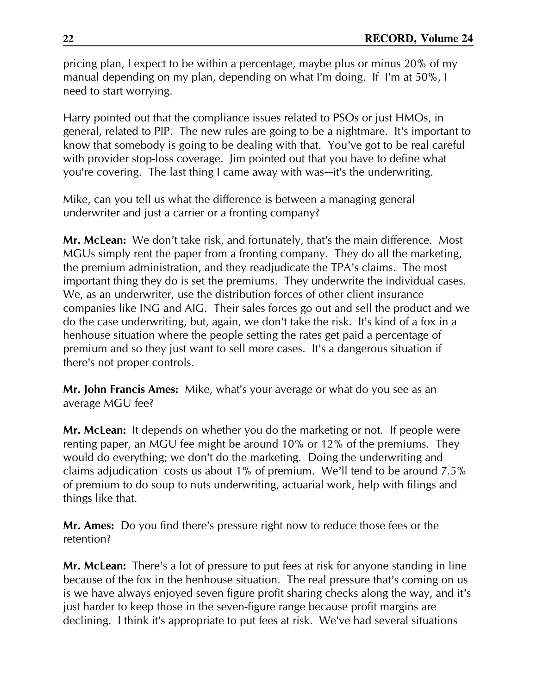pricing plan, I expect to be within a percentage, maybe plus or minus 20% of my manual depending on my plan, depending on what I'm doing. If I'm at 50%, I need to start worrying.

Harry pointed out that the compliance issues related to PSOs or just HMOs, in general, related to PIP. The new rules are going to be a nightmare. It's important to know that somebody is going to be dealing with that. You've got to be real careful with provider stop-loss coverage. Jim pointed out that you have to define what you're covering. The last thing I came away with was-it's the underwriting.

Mike, can you tell us what the difference is between a managing general underwriter and just a carrier or a fronting company?

**Mr. McLean:** We don't take risk, and fortunately, that's the main difference. Most MGUs simply rent the paper from a fronting company. They do all the marketing, the premium administration, and they readjudicate the TPA's claims. The most important thing they do is set the premiums. They underwrite the individual cases. We, as an underwriter, use the distribution forces of other client insurance companies like ING and AIG. Their sales forces go out and sell the product and we do the case underwriting, but, again, we don't take the risk. It's kind of a fox in a henhouse situation where the people setting the rates get paid a percentage of premium and so they just want to sell more cases. It's a dangerous situation if there's not proper controls.

Mr. John Francis Ames: Mike, what's your average or what do you see as an average MGU fee?

Mr. McLean: It depends on whether you do the marketing or not. If people were renting paper, an MGU fee might be around 10% or 12% of the premiums. They would do everything; we don't do the marketing. Doing the underwriting and claims adjudication costs us about 1% of premium. We'll tend to be around 7.5% of premium to do soup to nuts underwriting, actuarial work, help with filings and things like that.

Mr. Ames: Do you find there's pressure right now to reduce those fees or the retention?

Mr. McLean: There's a lot of pressure to put fees at risk for anyone standing in line because of the fox in the henhouse situation. The real pressure that's coming on us is we have always enjoyed seven figure profit sharing checks along the way, and it's just harder to keep those in the seven-figure range because profit margins are declining. I think it's appropriate to put fees at risk. We've had several situations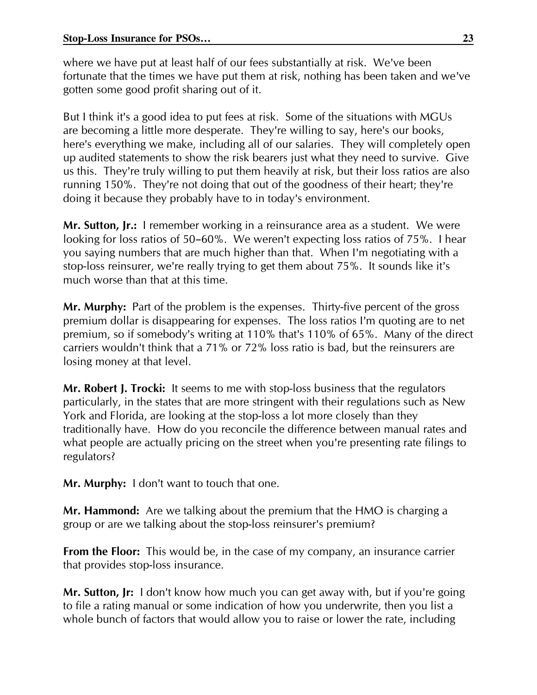where we have put at least half of our fees substantially at risk. We've been fortunate that the times we have put them at risk, nothing has been taken and we've gotten some good profit sharing out of it.

But I think it's a good idea to put fees at risk. Some of the situations with MGUs are becoming a little more desperate. They're willing to say, here's our books, here's everything we make, including all of our salaries. They will completely open up audited statements to show the risk bearers just what they need to survive. Give us this. They're truly willing to put them heavily at risk, but their loss ratios are also running 150%. They're not doing that out of the goodness of their heart; they're doing it because they probably have to in today's environment.

Mr. Sutton, Jr.: I remember working in a reinsurance area as a student. We were looking for loss ratios of 50-60%. We weren't expecting loss ratios of 75%. I hear you saying numbers that are much higher than that. When I'm negotiating with a stop-loss reinsurer, we're really trying to get them about 75%. It sounds like it's much worse than that at this time.

Mr. Murphy: Part of the problem is the expenses. Thirty-five percent of the gross premium dollar is disappearing for expenses. The loss ratios I'm quoting are to net premium, so if somebody's writing at 110% that's 110% of 65%. Many of the direct carriers wouldn't think that a 71% or 72% loss ratio is bad, but the reinsurers are losing money at that level.

Mr. Robert J. Trocki: It seems to me with stop-loss business that the regulators particularly, in the states that are more stringent with their regulations such as New York and Florida, are looking at the stop-loss a lot more closely than they traditionally have. How do you reconcile the difference between manual rates and what people are actually pricing on the street when you're presenting rate filings to regulators?

Mr. Murphy: I don't want to touch that one.

Mr. Hammond: Are we talking about the premium that the HMO is charging a group or are we talking about the stop-loss reinsurer's premium?

**From the Floor:** This would be, in the case of my company, an insurance carrier that provides stop-loss insurance.

Mr. Sutton, Jr: 1 don't know how much you can get away with, but if you're going to file a rating manual or some indication of how you underwrite, then you list a whole bunch of factors that would allow you to raise or lower the rate, including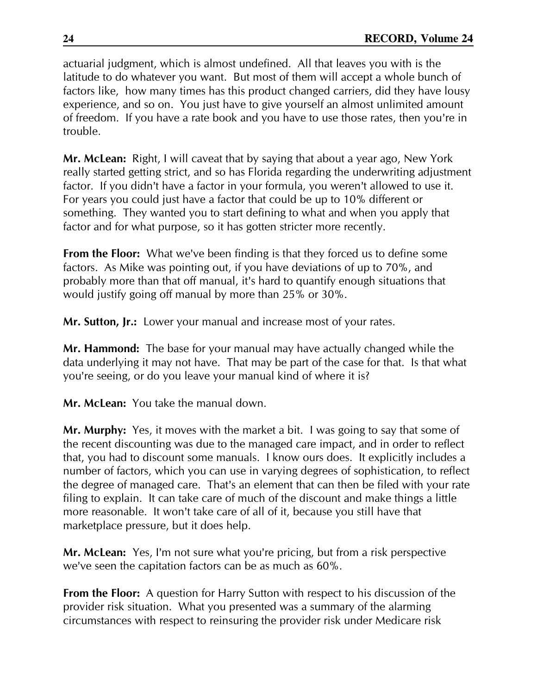actuarial judgment, which is almost undefined. All that leaves you with is the latitude to do whatever you want. But most of them will accept a whole bunch of factors like, how many times has this product changed carriers, did they have lousy experience, and so on. You just have to give yourself an almost unlimited amount of freedom. If you have a rate book and you have to use those rates, then you're in trouble.

Mr. McLean: Right, I will caveat that by saying that about a year ago, New York really started getting strict, and so has Florida regarding the underwriting adjustment factor. If you didn't have a factor in your formula, you weren't allowed to use it. For years you could just have a factor that could be up to 10% different or something. They wanted you to start defining to what and when you apply that factor and for what purpose, so it has gotten stricter more recently.

**From the Floor:** What we've been finding is that they forced us to define some factors. As Mike was pointing out, if you have deviations of up to 70%, and probably more than that off manual, it's hard to quantify enough situations that would justify going off manual by more than 25% or 30%.

Mr. Sutton, Jr.: Lower your manual and increase most of your rates.

Mr. Hammond: The base for your manual may have actually changed while the data underlying it may not have. That may be part of the case for that. Is that what you're seeing, or do you leave your manual kind of where it is?

Mr. McLean: You take the manual down.

Mr. Murphy: Yes, it moves with the market a bit. I was going to say that some of the recent discounting was due to the managed care impact, and in order to reflect that, you had to discount some manuals. I know ours does. It explicitly includes a number of factors, which you can use in varying degrees of sophistication, to reflect the degree of managed care. That's an element that can then be filed with your rate filing to explain. It can take care of much of the discount and make things a little more reasonable. It won't take care of all of it, because you still have that marketplace pressure, but it does help.

Mr. McLean: Yes, I'm not sure what you're pricing, but from a risk perspective we've seen the capitation factors can be as much as 60%.

**From the Floor:** A question for Harry Sutton with respect to his discussion of the provider risk situation. What you presented was a summary of the alarming circumstances with respect to reinsuring the provider risk under Medicare risk